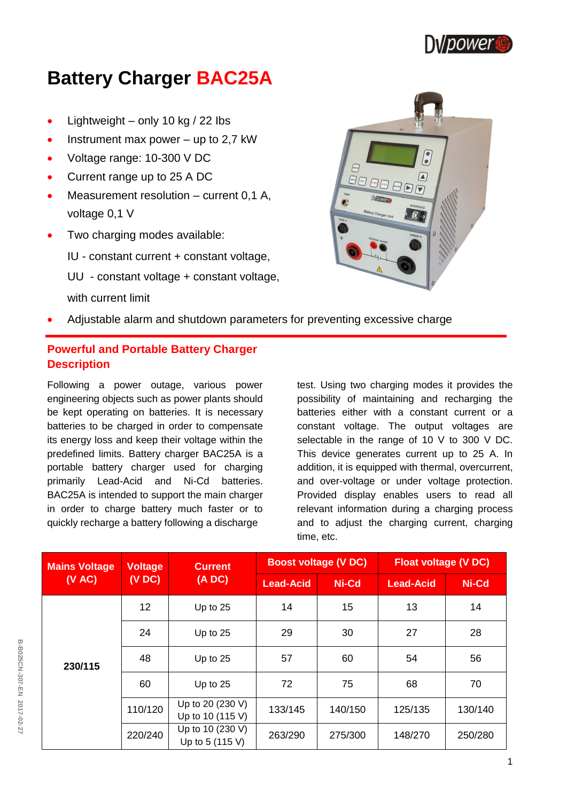

# **Battery Charger BAC25A**

- Lightweight only 10 kg  $/$  22 lbs
- Instrument max power up to 2,7 kW
- Voltage range: 10-300 V DC
- Current range up to 25 A DC
- Measurement resolution current 0,1 A, voltage 0,1 V
- Two charging modes available:
	- IU constant current + constant voltage,
	- UU constant voltage + constant voltage,
	- with current limit



Adjustable alarm and shutdown parameters for preventing excessive charge

## **Powerful and Portable Battery Charger Description**

Following a power outage, various power engineering objects such as power plants should be kept operating on batteries. It is necessary batteries to be charged in order to compensate its energy loss and keep their voltage within the predefined limits. Battery charger BAC25A is a portable battery charger used for charging primarily Lead-Acid and Ni-Cd batteries. BAC25A is intended to support the main charger in order to charge battery much faster or to quickly recharge a battery following a discharge

test. Using two charging modes it provides the possibility of maintaining and recharging the batteries either with a constant current or a constant voltage. The output voltages are selectable in the range of 10 V to 300 V DC. This device generates current up to 25 A. In addition, it is equipped with thermal, overcurrent, and over-voltage or under voltage protection. Provided display enables users to read all relevant information during a charging process and to adjust the charging current, charging time, etc.

| <b>Mains Voltage</b> | <b>Voltage</b><br>(VDC) | <b>Current</b><br>(ADC)              | <b>Boost voltage (V DC)</b> |         | <b>Float voltage (V DC)</b> |         |
|----------------------|-------------------------|--------------------------------------|-----------------------------|---------|-----------------------------|---------|
| (VAC)                |                         |                                      | <b>Lead-Acid</b>            | Ni-Cd   | <b>Lead-Acid</b>            | Ni-Cd   |
| 230/115              | 12                      | Up to 25                             | 14                          | 15      | 13                          | 14      |
|                      | 24                      | Up to 25                             | 29                          | 30      | 27                          | 28      |
|                      | 48                      | Up to 25                             | 57                          | 60      | 54                          | 56      |
|                      | 60                      | Up to 25                             | 72                          | 75      | 68                          | 70      |
|                      | 110/120                 | Up to 20 (230 V)<br>Up to 10 (115 V) | 133/145                     | 140/150 | 125/135                     | 130/140 |
|                      | 220/240                 | Up to 10 (230 V)<br>Up to 5 (115 V)  | 263/290                     | 275/300 | 148/270                     | 250/280 |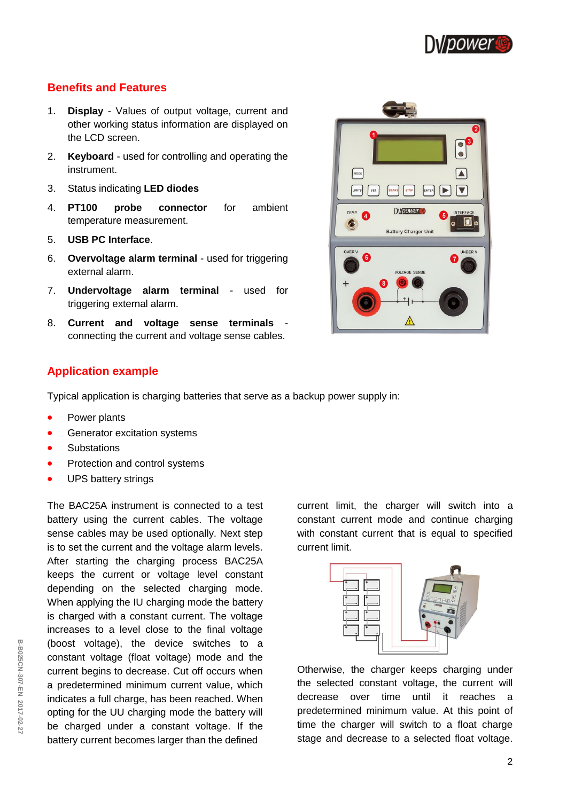

## **Benefits and Features**

- 1. **Display**  Values of output voltage, current and other working status information are displayed on the LCD screen.
- 2. **Keyboard** used for controlling and operating the instrument.
- 3. Status indicating **LED diodes**
- 4. **PT100 probe connector** for ambient temperature measurement.
- 5. **USB PC Interface**.
- 6. **Overvoltage alarm terminal** used for triggering external alarm.
- 7. **Undervoltage alarm terminal** used for triggering external alarm.
- 8. **Current and voltage sense terminals**  connecting the current and voltage sense cables.



## **Application example**

Typical application is charging batteries that serve as a backup power supply in:

- Power plants
- Generator excitation systems
- **Substations**
- Protection and control systems
- UPS battery strings

The BAC25A instrument is connected to a test battery using the current cables. The voltage sense cables may be used optionally. Next step is to set the current and the voltage alarm levels. After starting the charging process BAC25A keeps the current or voltage level constant depending on the selected charging mode. When applying the IU charging mode the battery is charged with a constant current. The voltage increases to a level close to the final voltage (boost voltage), the device switches to a constant voltage (float voltage) mode and the current begins to decrease. Cut off occurs when a predetermined minimum current value, which indicates a full charge, has been reached. When opting for the UU charging mode the battery will be charged under a constant voltage. If the battery current becomes larger than the defined

current limit, the charger will switch into a constant current mode and continue charging with constant current that is equal to specified current limit.



Otherwise, the charger keeps charging under the selected constant voltage, the current will decrease over time until it reaches a predetermined minimum value. At this point of time the charger will switch to a float charge stage and decrease to a selected float voltage.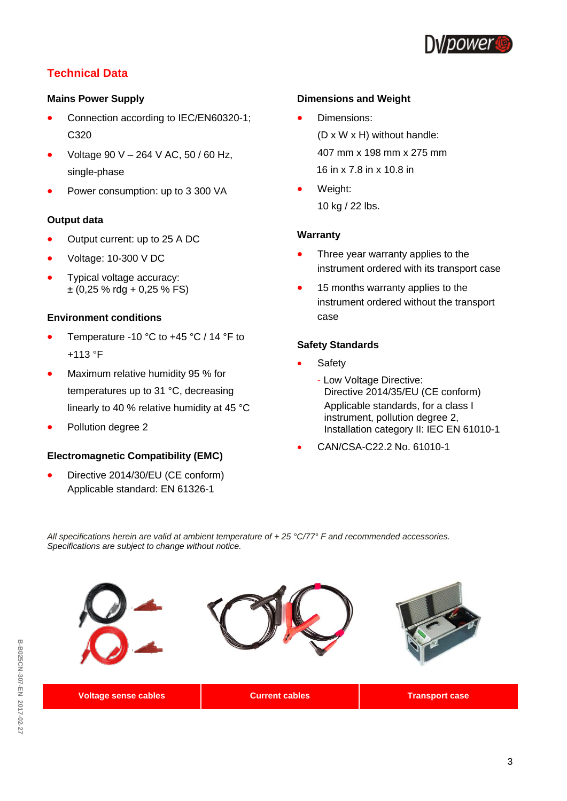

# **Technical Data**

#### **Mains Power Supply**

- Connection according to IEC/EN60320-1; C320
- Voltage 90 V 264 V AC, 50 / 60 Hz, single-phase
- Power consumption: up to 3 300 VA

#### **Output data**

- Output current: up to 25 A DC
- Voltage: 10-300 V DC
- Typical voltage accuracy:  $\pm$  (0,25 % rdg + 0,25 % FS)

#### **Environment conditions**

- Temperature -10 °C to +45 °C / 14 °F to +113 °F
- Maximum relative humidity 95 % for temperatures up to 31 °C, decreasing linearly to 40 % relative humidity at 45 °C
- Pollution degree 2

#### **Electromagnetic Compatibility (EMC)**

 Directive 2014/30/EU (CE conform) Applicable standard: EN 61326-1

#### **Dimensions and Weight**

Dimensions:

(D x W x H) without handle: 407 mm x 198 mm x 275 mm 16 in x 7.8 in x 10.8 in

 Weight: 10 kg / 22 lbs.

#### **Warranty**

- Three year warranty applies to the instrument ordered with its transport case
- 15 months warranty applies to the instrument ordered without the transport case

#### **Safety Standards**

- Safety
	- Low Voltage Directive: Directive 2014/35/EU (CE conform) Applicable standards, for a class I instrument, pollution degree 2, Installation category II: IEC EN 61010-1
- CAN/CSA-C22.2 No. 61010-1

*All specifications herein are valid at ambient temperature of + 25 °C/77° F and recommended accessories. Specifications are subject to change without notice.*